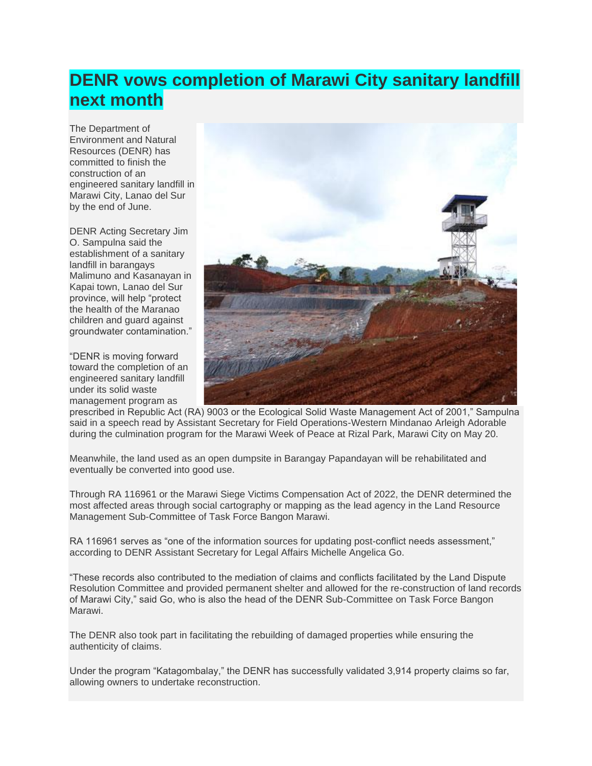## **DENR vows completion of Marawi City sanitary landfill next month**

The Department of Environment and Natural Resources (DENR) has committed to finish the construction of an engineered sanitary landfill in Marawi City, Lanao del Sur by the end of June.

DENR Acting Secretary Jim O. Sampulna said the establishment of a sanitary landfill in barangays Malimuno and Kasanayan in Kapai town, Lanao del Sur province, will help "protect the health of the Maranao children and guard against groundwater contamination."

"DENR is moving forward toward the completion of an engineered sanitary landfill under its solid waste management program as



prescribed in Republic Act (RA) 9003 or the Ecological Solid Waste Management Act of 2001," Sampulna said in a speech read by Assistant Secretary for Field Operations-Western Mindanao Arleigh Adorable during the culmination program for the Marawi Week of Peace at Rizal Park, Marawi City on May 20.

Meanwhile, the land used as an open dumpsite in Barangay Papandayan will be rehabilitated and eventually be converted into good use.

Through RA 116961 or the Marawi Siege Victims Compensation Act of 2022, the DENR determined the most affected areas through social cartography or mapping as the lead agency in the Land Resource Management Sub-Committee of Task Force Bangon Marawi.

RA 116961 serves as "one of the information sources for updating post-conflict needs assessment," according to DENR Assistant Secretary for Legal Affairs Michelle Angelica Go.

"These records also contributed to the mediation of claims and conflicts facilitated by the Land Dispute Resolution Committee and provided permanent shelter and allowed for the re-construction of land records of Marawi City," said Go, who is also the head of the DENR Sub-Committee on Task Force Bangon Marawi.

The DENR also took part in facilitating the rebuilding of damaged properties while ensuring the authenticity of claims.

Under the program "Katagombalay," the DENR has successfully validated 3,914 property claims so far, allowing owners to undertake reconstruction.